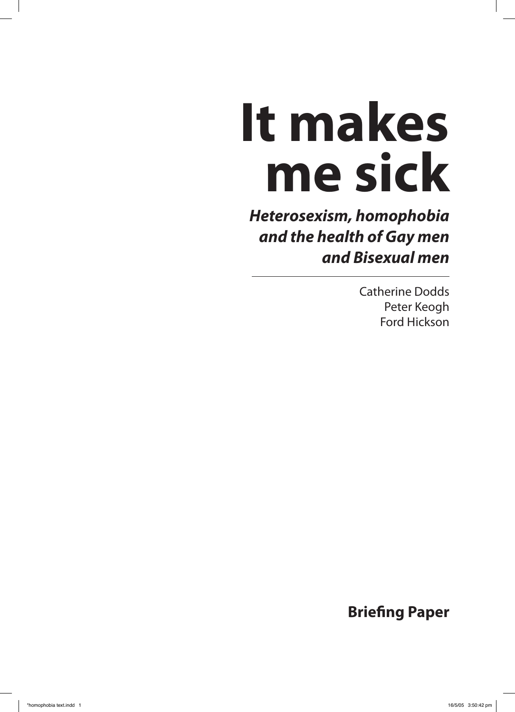# **It makes me sick**

**Heterosexism, homophobia and the health of Gay men and Bisexual men**

> Catherine Dodds Peter Keogh Ford Hickson

**Briefing Paper**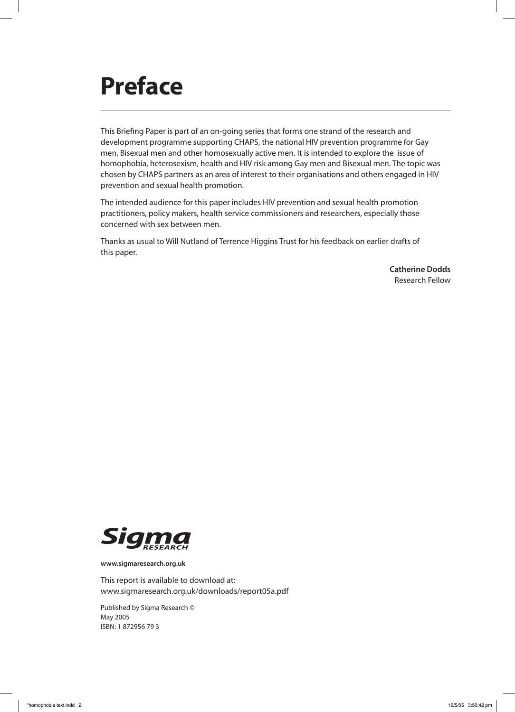# **Preface**

This Briefing Paper is part of an on-going series that forms one strand of the research and development programme supporting CHAPS, the national HIV prevention programme for Gay men, Bisexual men and other homosexually active men. It is intended to explore the issue of homophobia, heterosexism, health and HIV risk among Gay men and Bisexual men. The topic was chosen by CHAPS partners as an area of interest to their organisations and others engaged in HIV prevention and sexual health promotion.

The intended audience for this paper includes HIV prevention and sexual health promotion practitioners, policy makers, health service commissioners and researchers, especially those concerned with sex between men.

Thanks as usual to Will Nutland of Terrence Higgins Trust for his feedback on earlier drafts of this paper.

> **Catherine Dodds** Research Fellow



**www.sigmaresearch.org.uk**

This report is available to download at: www.sigmaresearch.org.uk/downloads/report05a.pdf

Published by Sigma Research © May 2005 ISBN: 1 872956 79 3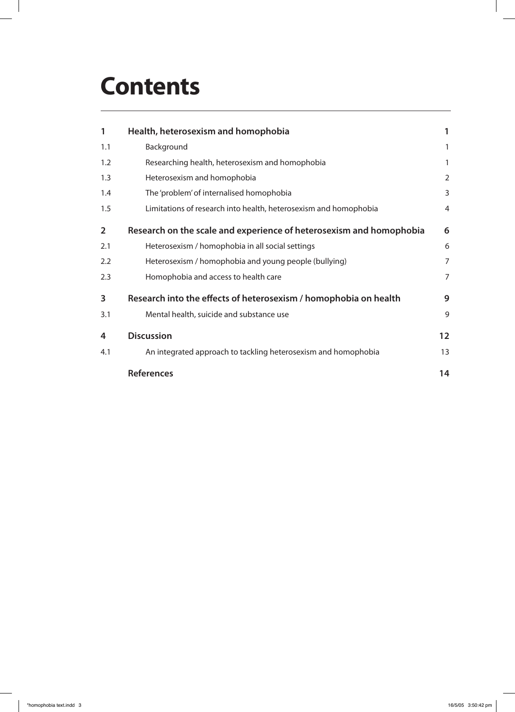# **Contents**

| 1              | Health, heterosexism and homophobia                                 | 1                 |
|----------------|---------------------------------------------------------------------|-------------------|
| 1.1            | Background                                                          | 1                 |
| 1.2            | Researching health, heterosexism and homophobia                     | 1                 |
| 1.3            | Heterosexism and homophobia                                         | $\overline{2}$    |
| 1.4            | The 'problem' of internalised homophobia                            | 3                 |
| 1.5            | Limitations of research into health, heterosexism and homophobia    | $\overline{4}$    |
| $\overline{2}$ | Research on the scale and experience of heterosexism and homophobia | 6                 |
| 2.1            | Heterosexism / homophobia in all social settings                    | 6                 |
| 2.2            | Heterosexism / homophobia and young people (bullying)               | $\overline{7}$    |
| 2.3            | Homophobia and access to health care                                | $\overline{7}$    |
| 3              | Research into the effects of heterosexism / homophobia on health    | 9                 |
| 3.1            | Mental health, suicide and substance use                            | 9                 |
| 4              | <b>Discussion</b>                                                   | $12 \overline{ }$ |
| 4.1            | An integrated approach to tackling heterosexism and homophobia      | 13                |
|                | <b>References</b>                                                   | 14                |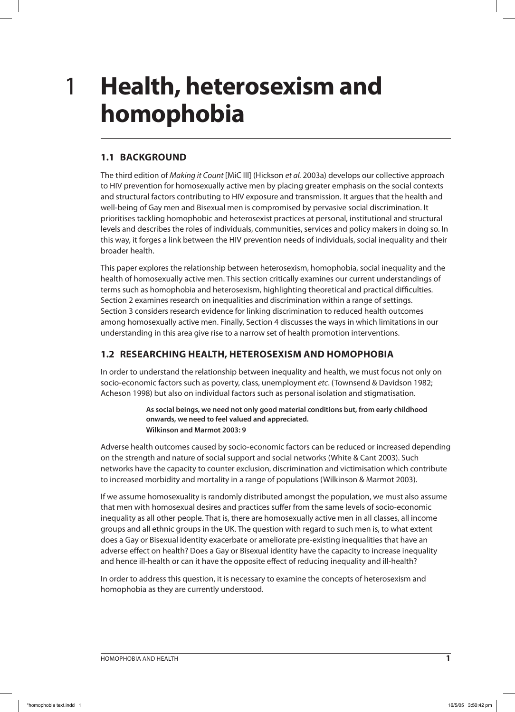### **Health, heterosexism and homophobia** 1

### **1.1 BACKGROUND**

The third edition of Making it Count [MiC III] (Hickson et al. 2003a) develops our collective approach to HIV prevention for homosexually active men by placing greater emphasis on the social contexts and structural factors contributing to HIV exposure and transmission. It argues that the health and well-being of Gay men and Bisexual men is compromised by pervasive social discrimination. It prioritises tackling homophobic and heterosexist practices at personal, institutional and structural levels and describes the roles of individuals, communities, services and policy makers in doing so. In this way, it forges a link between the HIV prevention needs of individuals, social inequality and their broader health.

This paper explores the relationship between heterosexism, homophobia, social inequality and the health of homosexually active men. This section critically examines our current understandings of terms such as homophobia and heterosexism, highlighting theoretical and practical difficulties. Section 2 examines research on inequalities and discrimination within a range of settings. Section 3 considers research evidence for linking discrimination to reduced health outcomes among homosexually active men. Finally, Section 4 discusses the ways in which limitations in our understanding in this area give rise to a narrow set of health promotion interventions.

### **1.2 RESEARCHING HEALTH, HETEROSEXISM AND HOMOPHOBIA**

In order to understand the relationship between inequality and health, we must focus not only on socio-economic factors such as poverty, class, unemployment etc. (Townsend & Davidson 1982; Acheson 1998) but also on individual factors such as personal isolation and stigmatisation.

> **As social beings, we need not only good material conditions but, from early childhood onwards, we need to feel valued and appreciated. Wilkinson and Marmot 2003: 9**

Adverse health outcomes caused by socio-economic factors can be reduced or increased depending on the strength and nature of social support and social networks (White & Cant 2003). Such networks have the capacity to counter exclusion, discrimination and victimisation which contribute to increased morbidity and mortality in a range of populations (Wilkinson & Marmot 2003).

If we assume homosexuality is randomly distributed amongst the population, we must also assume that men with homosexual desires and practices suffer from the same levels of socio-economic inequality as all other people. That is, there are homosexually active men in all classes, all income groups and all ethnic groups in the UK. The question with regard to such men is, to what extent does a Gay or Bisexual identity exacerbate or ameliorate pre-existing inequalities that have an adverse effect on health? Does a Gay or Bisexual identity have the capacity to increase inequality and hence ill-health or can it have the opposite effect of reducing inequality and ill-health?

In order to address this question, it is necessary to examine the concepts of heterosexism and homophobia as they are currently understood.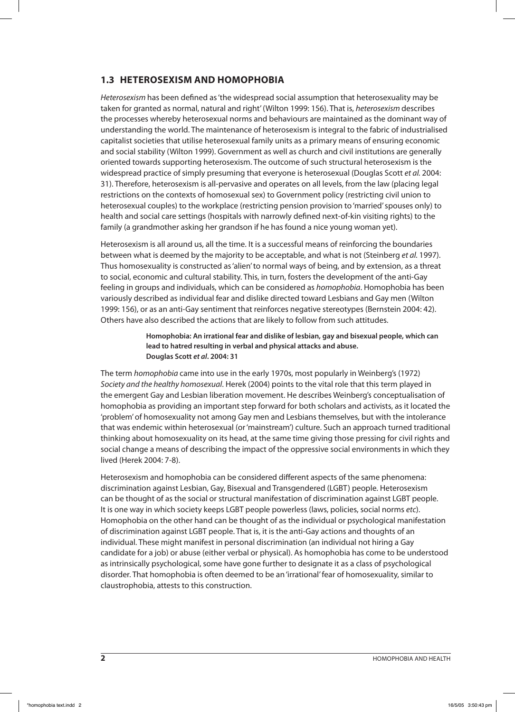### **1.3 HETEROSEXISM AND HOMOPHOBIA**

Heterosexism has been defined as 'the widespread social assumption that heterosexuality may be taken for granted as normal, natural and right' (Wilton 1999: 156). That is, heterosexism describes the processes whereby heterosexual norms and behaviours are maintained as the dominant way of understanding the world. The maintenance of heterosexism is integral to the fabric of industrialised capitalist societies that utilise heterosexual family units as a primary means of ensuring economic and social stability (Wilton 1999). Government as well as church and civil institutions are generally oriented towards supporting heterosexism. The outcome of such structural heterosexism is the widespread practice of simply presuming that everyone is heterosexual (Douglas Scott et al. 2004: 31). Therefore, heterosexism is all-pervasive and operates on all levels, from the law (placing legal restrictions on the contexts of homosexual sex) to Government policy (restricting civil union to heterosexual couples) to the workplace (restricting pension provision to 'married' spouses only) to health and social care settings (hospitals with narrowly defined next-of-kin visiting rights) to the family (a grandmother asking her grandson if he has found a nice young woman yet).

Heterosexism is all around us, all the time. It is a successful means of reinforcing the boundaries between what is deemed by the majority to be acceptable, and what is not (Steinberg et al. 1997). Thus homosexuality is constructed as 'alien' to normal ways of being, and by extension, as a threat to social, economic and cultural stability. This, in turn, fosters the development of the anti-Gay feeling in groups and individuals, which can be considered as homophobia. Homophobia has been variously described as individual fear and dislike directed toward Lesbians and Gay men (Wilton 1999: 156), or as an anti-Gay sentiment that reinforces negative stereotypes (Bernstein 2004: 42). Others have also described the actions that are likely to follow from such attitudes.

#### **Homophobia: An irrational fear and dislike of lesbian, gay and bisexual people, which can lead to hatred resulting in verbal and physical attacks and abuse. Douglas Scott et al. 2004: 31**

The term homophobia came into use in the early 1970s, most popularly in Weinberg's (1972) Society and the healthy homosexual. Herek (2004) points to the vital role that this term played in the emergent Gay and Lesbian liberation movement. He describes Weinberg's conceptualisation of homophobia as providing an important step forward for both scholars and activists, as it located the 'problem' of homosexuality not among Gay men and Lesbians themselves, but with the intolerance that was endemic within heterosexual (or 'mainstream') culture. Such an approach turned traditional thinking about homosexuality on its head, at the same time giving those pressing for civil rights and social change a means of describing the impact of the oppressive social environments in which they lived (Herek 2004: 7-8).

Heterosexism and homophobia can be considered different aspects of the same phenomena: discrimination against Lesbian, Gay, Bisexual and Transgendered (LGBT) people. Heterosexism can be thought of as the social or structural manifestation of discrimination against LGBT people. It is one way in which society keeps LGBT people powerless (laws, policies, social norms etc). Homophobia on the other hand can be thought of as the individual or psychological manifestation of discrimination against LGBT people. That is, it is the anti-Gay actions and thoughts of an individual. These might manifest in personal discrimination (an individual not hiring a Gay candidate for a job) or abuse (either verbal or physical). As homophobia has come to be understood as intrinsically psychological, some have gone further to designate it as a class of psychological disorder. That homophobia is often deemed to be an 'irrational' fear of homosexuality, similar to claustrophobia, attests to this construction.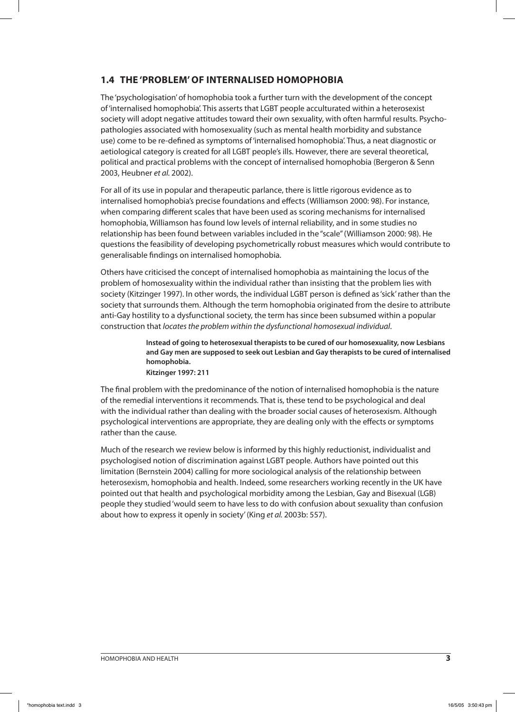### **1.4 THE 'PROBLEM' OF INTERNALISED HOMOPHOBIA**

The 'psychologisation' of homophobia took a further turn with the development of the concept of 'internalised homophobia'. This asserts that LGBT people acculturated within a heterosexist society will adopt negative attitudes toward their own sexuality, with often harmful results. Psychopathologies associated with homosexuality (such as mental health morbidity and substance use) come to be re-defined as symptoms of 'internalised homophobia'. Thus, a neat diagnostic or aetiological category is created for all LGBT people's ills. However, there are several theoretical, political and practical problems with the concept of internalised homophobia (Bergeron & Senn 2003, Heubner et al. 2002).

For all of its use in popular and therapeutic parlance, there is little rigorous evidence as to internalised homophobia's precise foundations and effects (Williamson 2000: 98). For instance, when comparing different scales that have been used as scoring mechanisms for internalised homophobia, Williamson has found low levels of internal reliability, and in some studies no relationship has been found between variables included in the "scale" (Williamson 2000: 98). He questions the feasibility of developing psychometrically robust measures which would contribute to generalisable findings on internalised homophobia.

Others have criticised the concept of internalised homophobia as maintaining the locus of the problem of homosexuality within the individual rather than insisting that the problem lies with society (Kitzinger 1997). In other words, the individual LGBT person is defined as 'sick' rather than the society that surrounds them. Although the term homophobia originated from the desire to attribute anti-Gay hostility to a dysfunctional society, the term has since been subsumed within a popular construction that locates the problem within the dysfunctional homosexual individual.

> **Instead of going to heterosexual therapists to be cured of our homosexuality, now Lesbians and Gay men are supposed to seek out Lesbian and Gay therapists to be cured of internalised homophobia.**

**Kitzinger 1997: 211**

The final problem with the predominance of the notion of internalised homophobia is the nature of the remedial interventions it recommends. That is, these tend to be psychological and deal with the individual rather than dealing with the broader social causes of heterosexism. Although psychological interventions are appropriate, they are dealing only with the effects or symptoms rather than the cause.

Much of the research we review below is informed by this highly reductionist, individualist and psychologised notion of discrimination against LGBT people. Authors have pointed out this limitation (Bernstein 2004) calling for more sociological analysis of the relationship between heterosexism, homophobia and health. Indeed, some researchers working recently in the UK have pointed out that health and psychological morbidity among the Lesbian, Gay and Bisexual (LGB) people they studied 'would seem to have less to do with confusion about sexuality than confusion about how to express it openly in society' (King et al. 2003b: 557).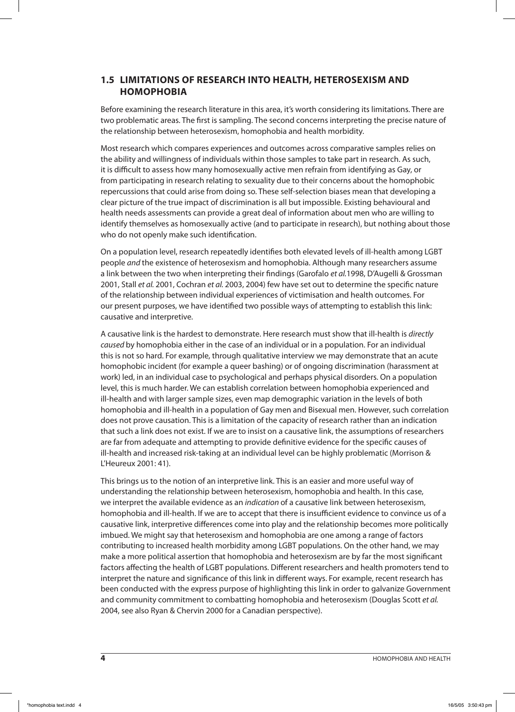### **1.5 LIMITATIONS OF RESEARCH INTO HEALTH, HETEROSEXISM AND HOMOPHOBIA**

Before examining the research literature in this area, it's worth considering its limitations. There are two problematic areas. The first is sampling. The second concerns interpreting the precise nature of the relationship between heterosexism, homophobia and health morbidity.

Most research which compares experiences and outcomes across comparative samples relies on the ability and willingness of individuals within those samples to take part in research. As such, it is difficult to assess how many homosexually active men refrain from identifying as Gay, or from participating in research relating to sexuality due to their concerns about the homophobic repercussions that could arise from doing so. These self-selection biases mean that developing a clear picture of the true impact of discrimination is all but impossible. Existing behavioural and health needs assessments can provide a great deal of information about men who are willing to identify themselves as homosexually active (and to participate in research), but nothing about those who do not openly make such identification.

On a population level, research repeatedly identifies both elevated levels of ill-health among LGBT people and the existence of heterosexism and homophobia. Although many researchers assume a link between the two when interpreting their findings (Garofalo et al.1998, D'Augelli & Grossman 2001, Stall et al. 2001, Cochran et al. 2003, 2004) few have set out to determine the specific nature of the relationship between individual experiences of victimisation and health outcomes. For our present purposes, we have identified two possible ways of attempting to establish this link: causative and interpretive.

A causative link is the hardest to demonstrate. Here research must show that ill-health is directly caused by homophobia either in the case of an individual or in a population. For an individual this is not so hard. For example, through qualitative interview we may demonstrate that an acute homophobic incident (for example a queer bashing) or of ongoing discrimination (harassment at work) led, in an individual case to psychological and perhaps physical disorders. On a population level, this is much harder. We can establish correlation between homophobia experienced and ill-health and with larger sample sizes, even map demographic variation in the levels of both homophobia and ill-health in a population of Gay men and Bisexual men. However, such correlation does not prove causation. This is a limitation of the capacity of research rather than an indication that such a link does not exist. If we are to insist on a causative link, the assumptions of researchers are far from adequate and attempting to provide definitive evidence for the specific causes of ill-health and increased risk-taking at an individual level can be highly problematic (Morrison & L'Heureux 2001: 41).

This brings us to the notion of an interpretive link. This is an easier and more useful way of understanding the relationship between heterosexism, homophobia and health. In this case, we interpret the available evidence as an indication of a causative link between heterosexism, homophobia and ill-health. If we are to accept that there is insufficient evidence to convince us of a causative link, interpretive differences come into play and the relationship becomes more politically imbued. We might say that heterosexism and homophobia are one among a range of factors contributing to increased health morbidity among LGBT populations. On the other hand, we may make a more political assertion that homophobia and heterosexism are by far the most significant factors affecting the health of LGBT populations. Different researchers and health promoters tend to interpret the nature and significance of this link in different ways. For example, recent research has been conducted with the express purpose of highlighting this link in order to galvanize Government and community commitment to combatting homophobia and heterosexism (Douglas Scott et al. 2004, see also Ryan & Chervin 2000 for a Canadian perspective).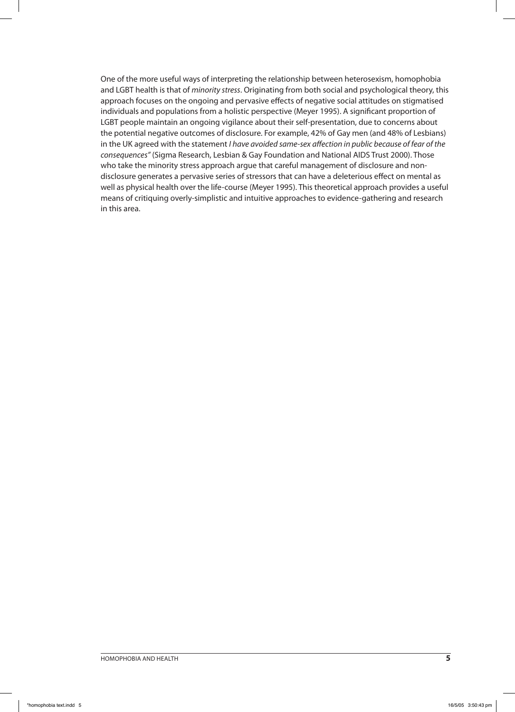One of the more useful ways of interpreting the relationship between heterosexism, homophobia and LGBT health is that of minority stress. Originating from both social and psychological theory, this approach focuses on the ongoing and pervasive effects of negative social attitudes on stigmatised individuals and populations from a holistic perspective (Meyer 1995). A significant proportion of LGBT people maintain an ongoing vigilance about their self-presentation, due to concerns about the potential negative outcomes of disclosure. For example, 42% of Gay men (and 48% of Lesbians) in the UK agreed with the statement I have avoided same-sex affection in public because of fear of the consequences" (Sigma Research, Lesbian & Gay Foundation and National AIDS Trust 2000). Those who take the minority stress approach argue that careful management of disclosure and nondisclosure generates a pervasive series of stressors that can have a deleterious effect on mental as well as physical health over the life-course (Meyer 1995). This theoretical approach provides a useful means of critiquing overly-simplistic and intuitive approaches to evidence-gathering and research in this area.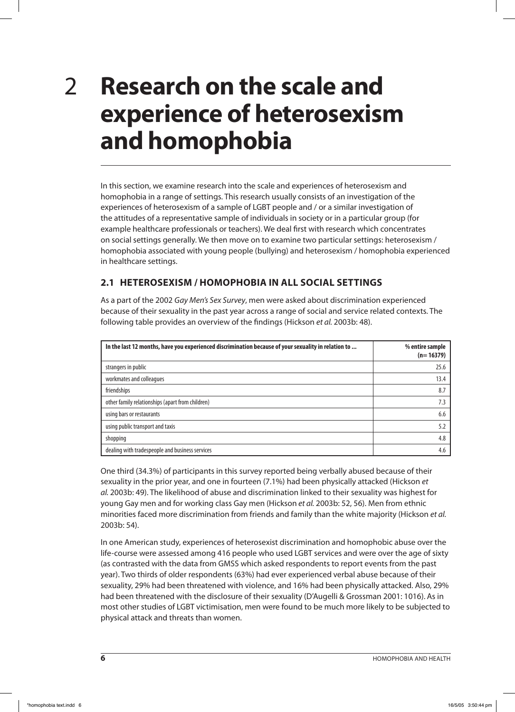### **Research on the scale and experience of heterosexism and homophobia** 2

In this section, we examine research into the scale and experiences of heterosexism and homophobia in a range of settings. This research usually consists of an investigation of the experiences of heterosexism of a sample of LGBT people and / or a similar investigation of the attitudes of a representative sample of individuals in society or in a particular group (for example healthcare professionals or teachers). We deal first with research which concentrates on social settings generally. We then move on to examine two particular settings: heterosexism / homophobia associated with young people (bullying) and heterosexism / homophobia experienced in healthcare settings.

### **2.1 HETEROSEXISM / HOMOPHOBIA IN ALL SOCIAL SETTINGS**

As a part of the 2002 Gay Men's Sex Survey, men were asked about discrimination experienced because of their sexuality in the past year across a range of social and service related contexts. The following table provides an overview of the findings (Hickson et al. 2003b: 48).

| In the last 12 months, have you experienced discrimination because of your sexuality in relation to | % entire sample<br>$(n=16379)$ |
|-----------------------------------------------------------------------------------------------------|--------------------------------|
| strangers in public                                                                                 | 25.6                           |
| workmates and colleagues                                                                            | 13.4                           |
| friendships                                                                                         | 8.7                            |
| other family relationships (apart from children)                                                    | 7.3                            |
| using bars or restaurants                                                                           | 6.6                            |
| using public transport and taxis                                                                    | 5.2                            |
| shopping                                                                                            | 4.8                            |
| dealing with tradespeople and business services                                                     | 4.6                            |

One third (34.3%) of participants in this survey reported being verbally abused because of their sexuality in the prior year, and one in fourteen (7.1%) had been physically attacked (Hickson et al. 2003b: 49). The likelihood of abuse and discrimination linked to their sexuality was highest for young Gay men and for working class Gay men (Hickson et al. 2003b: 52, 56). Men from ethnic minorities faced more discrimination from friends and family than the white majority (Hickson et al. 2003b: 54).

In one American study, experiences of heterosexist discrimination and homophobic abuse over the life-course were assessed among 416 people who used LGBT services and were over the age of sixty (as contrasted with the data from GMSS which asked respondents to report events from the past year). Two thirds of older respondents (63%) had ever experienced verbal abuse because of their sexuality, 29% had been threatened with violence, and 16% had been physically attacked. Also, 29% had been threatened with the disclosure of their sexuality (D'Augelli & Grossman 2001: 1016). As in most other studies of LGBT victimisation, men were found to be much more likely to be subjected to physical attack and threats than women.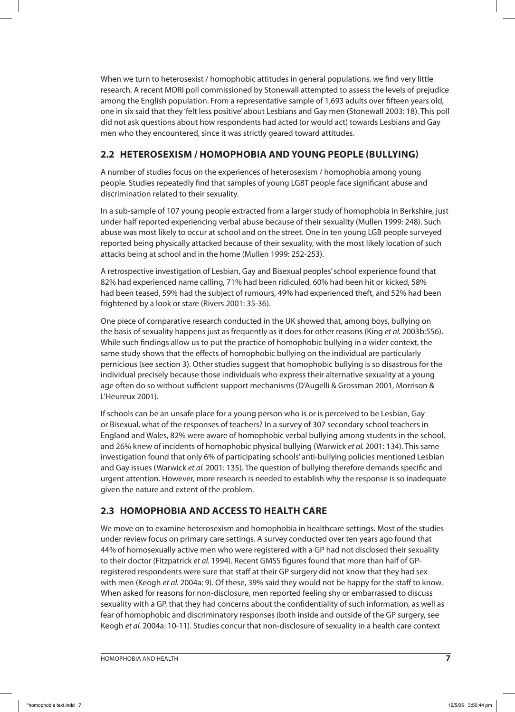When we turn to heterosexist / homophobic attitudes in general populations, we find very little research. A recent MORI poll commissioned by Stonewall attempted to assess the levels of prejudice among the English population. From a representative sample of 1,693 adults over fifteen years old, one in six said that they 'felt less positive' about Lesbians and Gay men (Stonewall 2003: 18). This poll did not ask questions about how respondents had acted (or would act) towards Lesbians and Gay men who they encountered, since it was strictly geared toward attitudes.

### **2.2 HETEROSEXISM / HOMOPHOBIA AND YOUNG PEOPLE (BULLYING)**

A number of studies focus on the experiences of heterosexism / homophobia among young people. Studies repeatedly find that samples of young LGBT people face significant abuse and discrimination related to their sexuality.

In a sub-sample of 107 young people extracted from a larger study of homophobia in Berkshire, just under half reported experiencing verbal abuse because of their sexuality (Mullen 1999: 248). Such abuse was most likely to occur at school and on the street. One in ten young LGB people surveyed reported being physically attacked because of their sexuality, with the most likely location of such attacks being at school and in the home (Mullen 1999: 252-253).

A retrospective investigation of Lesbian, Gay and Bisexual peoples' school experience found that 82% had experienced name calling, 71% had been ridiculed, 60% had been hit or kicked, 58% had been teased, 59% had the subject of rumours, 49% had experienced theft, and 52% had been frightened by a look or stare (Rivers 2001: 35-36).

One piece of comparative research conducted in the UK showed that, among boys, bullying on the basis of sexuality happens just as frequently as it does for other reasons (King et al. 2003b:556). While such findings allow us to put the practice of homophobic bullying in a wider context, the same study shows that the effects of homophobic bullying on the individual are particularly pernicious (see section 3). Other studies suggest that homophobic bullying is so disastrous for the individual precisely because those individuals who express their alternative sexuality at a young age often do so without sufficient support mechanisms (D'Augelli & Grossman 2001, Morrison & L'Heureux 2001).

If schools can be an unsafe place for a young person who is or is perceived to be Lesbian, Gay or Bisexual, what of the responses of teachers? In a survey of 307 secondary school teachers in England and Wales, 82% were aware of homophobic verbal bullying among students in the school, and 26% knew of incidents of homophobic physical bullying (Warwick et al. 2001: 134). This same investigation found that only 6% of participating schools' anti-bullying policies mentioned Lesbian and Gay issues (Warwick et al. 2001: 135). The question of bullying therefore demands specific and urgent attention. However, more research is needed to establish why the response is so inadequate given the nature and extent of the problem.

### **2.3 HOMOPHOBIA AND ACCESS TO HEALTH CARE**

We move on to examine heterosexism and homophobia in healthcare settings. Most of the studies under review focus on primary care settings. A survey conducted over ten years ago found that 44% of homosexually active men who were registered with a GP had not disclosed their sexuality to their doctor (Fitzpatrick et al. 1994). Recent GMSS figures found that more than half of GPregistered respondents were sure that staff at their GP surgery did not know that they had sex with men (Keogh et al. 2004a: 9). Of these, 39% said they would not be happy for the staff to know. When asked for reasons for non-disclosure, men reported feeling shy or embarrassed to discuss sexuality with a GP, that they had concerns about the confidentiality of such information, as well as fear of homophobic and discriminatory responses (both inside and outside of the GP surgery, see Keogh et al. 2004a: 10-11). Studies concur that non-disclosure of sexuality in a health care context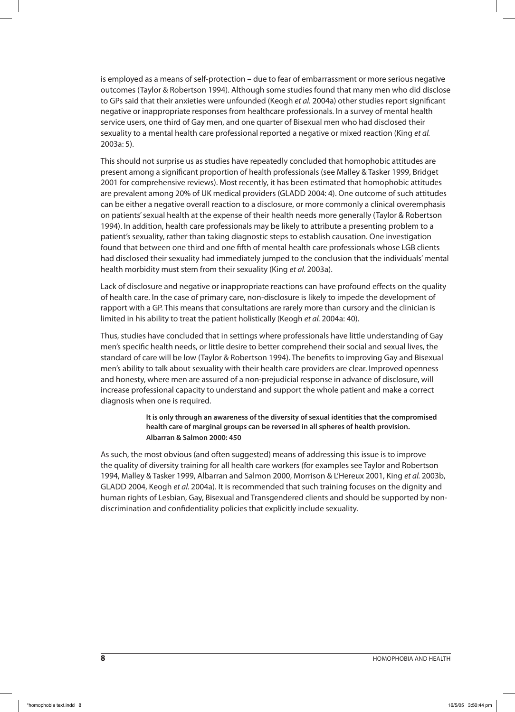is employed as a means of self-protection – due to fear of embarrassment or more serious negative outcomes (Taylor & Robertson 1994). Although some studies found that many men who did disclose to GPs said that their anxieties were unfounded (Keogh et al. 2004a) other studies report significant negative or inappropriate responses from healthcare professionals. In a survey of mental health service users, one third of Gay men, and one quarter of Bisexual men who had disclosed their sexuality to a mental health care professional reported a negative or mixed reaction (King et al. 2003a: 5).

This should not surprise us as studies have repeatedly concluded that homophobic attitudes are present among a significant proportion of health professionals (see Malley & Tasker 1999, Bridget 2001 for comprehensive reviews). Most recently, it has been estimated that homophobic attitudes are prevalent among 20% of UK medical providers (GLADD 2004: 4). One outcome of such attitudes can be either a negative overall reaction to a disclosure, or more commonly a clinical overemphasis on patients' sexual health at the expense of their health needs more generally (Taylor & Robertson 1994). In addition, health care professionals may be likely to attribute a presenting problem to a patient's sexuality, rather than taking diagnostic steps to establish causation. One investigation found that between one third and one fifth of mental health care professionals whose LGB clients had disclosed their sexuality had immediately jumped to the conclusion that the individuals' mental health morbidity must stem from their sexuality (King et al. 2003a).

Lack of disclosure and negative or inappropriate reactions can have profound effects on the quality of health care. In the case of primary care, non-disclosure is likely to impede the development of rapport with a GP. This means that consultations are rarely more than cursory and the clinician is limited in his ability to treat the patient holistically (Keogh et al. 2004a: 40).

Thus, studies have concluded that in settings where professionals have little understanding of Gay men's specific health needs, or little desire to better comprehend their social and sexual lives, the standard of care will be low (Taylor & Robertson 1994). The benefits to improving Gay and Bisexual men's ability to talk about sexuality with their health care providers are clear. Improved openness and honesty, where men are assured of a non-prejudicial response in advance of disclosure, will increase professional capacity to understand and support the whole patient and make a correct diagnosis when one is required.

#### **It is only through an awareness of the diversity of sexual identities that the compromised health care of marginal groups can be reversed in all spheres of health provision. Albarran & Salmon 2000: 450**

As such, the most obvious (and often suggested) means of addressing this issue is to improve the quality of diversity training for all health care workers (for examples see Taylor and Robertson 1994, Malley & Tasker 1999, Albarran and Salmon 2000, Morrison & L'Hereux 2001, King et al. 2003b, GLADD 2004, Keogh et al. 2004a). It is recommended that such training focuses on the dignity and human rights of Lesbian, Gay, Bisexual and Transgendered clients and should be supported by nondiscrimination and confidentiality policies that explicitly include sexuality.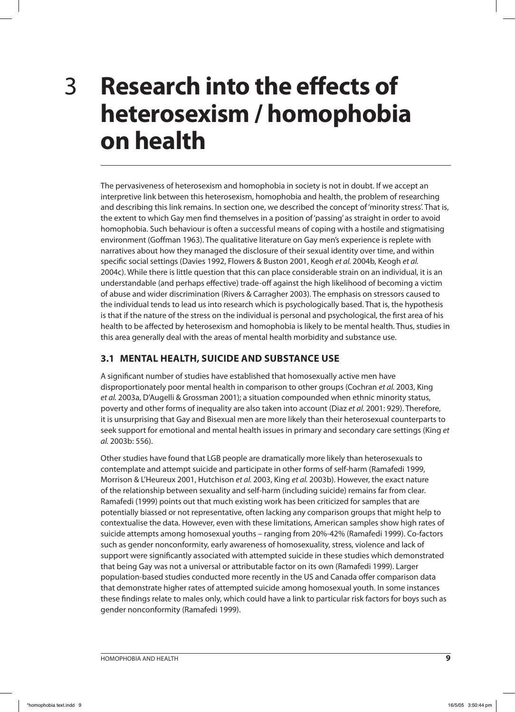3

## **Research into the effects of heterosexism / homophobia on health**

The pervasiveness of heterosexism and homophobia in society is not in doubt. If we accept an interpretive link between this heterosexism, homophobia and health, the problem of researching and describing this link remains. In section one, we described the concept of 'minority stress'. That is, the extent to which Gay men find themselves in a position of 'passing' as straight in order to avoid homophobia. Such behaviour is often a successful means of coping with a hostile and stigmatising environment (Goffman 1963). The qualitative literature on Gay men's experience is replete with narratives about how they managed the disclosure of their sexual identity over time, and within specific social settings (Davies 1992, Flowers & Buston 2001, Keogh et al. 2004b, Keogh et al. 2004c). While there is little question that this can place considerable strain on an individual, it is an understandable (and perhaps effective) trade-off against the high likelihood of becoming a victim of abuse and wider discrimination (Rivers & Carragher 2003). The emphasis on stressors caused to the individual tends to lead us into research which is psychologically based. That is, the hypothesis is that if the nature of the stress on the individual is personal and psychological, the first area of his health to be affected by heterosexism and homophobia is likely to be mental health. Thus, studies in this area generally deal with the areas of mental health morbidity and substance use.

### **3.1 MENTAL HEALTH, SUICIDE AND SUBSTANCE USE**

A significant number of studies have established that homosexually active men have disproportionately poor mental health in comparison to other groups (Cochran et al. 2003, King et al. 2003a, D'Augelli & Grossman 2001); a situation compounded when ethnic minority status, poverty and other forms of inequality are also taken into account (Diaz et al. 2001: 929). Therefore, it is unsurprising that Gay and Bisexual men are more likely than their heterosexual counterparts to seek support for emotional and mental health issues in primary and secondary care settings (King et al. 2003b: 556).

Other studies have found that LGB people are dramatically more likely than heterosexuals to contemplate and attempt suicide and participate in other forms of self-harm (Ramafedi 1999, Morrison & L'Heureux 2001, Hutchison et al. 2003, King et al. 2003b). However, the exact nature of the relationship between sexuality and self-harm (including suicide) remains far from clear. Ramafedi (1999) points out that much existing work has been criticized for samples that are potentially biassed or not representative, often lacking any comparison groups that might help to contextualise the data. However, even with these limitations, American samples show high rates of suicide attempts among homosexual youths – ranging from 20%-42% (Ramafedi 1999). Co-factors such as gender nonconformity, early awareness of homosexuality, stress, violence and lack of support were significantly associated with attempted suicide in these studies which demonstrated that being Gay was not a universal or attributable factor on its own (Ramafedi 1999). Larger population-based studies conducted more recently in the US and Canada offer comparison data that demonstrate higher rates of attempted suicide among homosexual youth. In some instances these findings relate to males only, which could have a link to particular risk factors for boys such as gender nonconformity (Ramafedi 1999).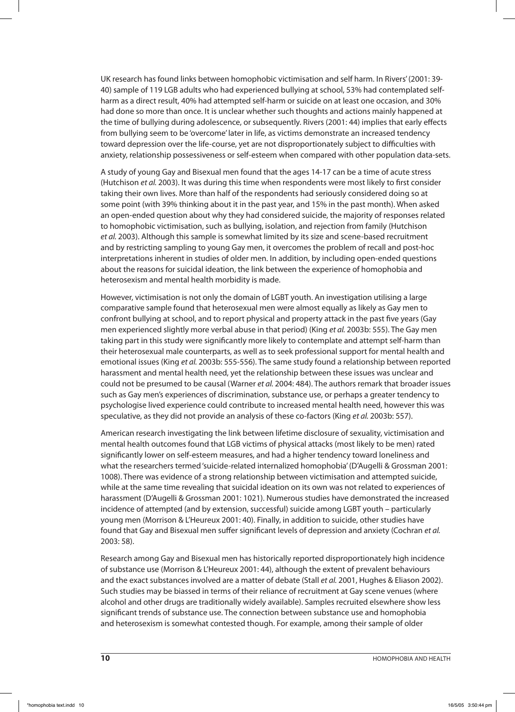UK research has found links between homophobic victimisation and self harm. In Rivers' (2001: 39- 40) sample of 119 LGB adults who had experienced bullying at school, 53% had contemplated selfharm as a direct result, 40% had attempted self-harm or suicide on at least one occasion, and 30% had done so more than once. It is unclear whether such thoughts and actions mainly happened at the time of bullying during adolescence, or subsequently. Rivers (2001: 44) implies that early effects from bullying seem to be 'overcome' later in life, as victims demonstrate an increased tendency toward depression over the life-course, yet are not disproportionately subject to difficulties with anxiety, relationship possessiveness or self-esteem when compared with other population data-sets.

A study of young Gay and Bisexual men found that the ages 14-17 can be a time of acute stress (Hutchison et al. 2003). It was during this time when respondents were most likely to first consider taking their own lives. More than half of the respondents had seriously considered doing so at some point (with 39% thinking about it in the past year, and 15% in the past month). When asked an open-ended question about why they had considered suicide, the majority of responses related to homophobic victimisation, such as bullying, isolation, and rejection from family (Hutchison et al. 2003). Although this sample is somewhat limited by its size and scene-based recruitment and by restricting sampling to young Gay men, it overcomes the problem of recall and post-hoc interpretations inherent in studies of older men. In addition, by including open-ended questions about the reasons for suicidal ideation, the link between the experience of homophobia and heterosexism and mental health morbidity is made.

However, victimisation is not only the domain of LGBT youth. An investigation utilising a large comparative sample found that heterosexual men were almost equally as likely as Gay men to confront bullying at school, and to report physical and property attack in the past five years (Gay men experienced slightly more verbal abuse in that period) (King et al. 2003b: 555). The Gay men taking part in this study were significantly more likely to contemplate and attempt self-harm than their heterosexual male counterparts, as well as to seek professional support for mental health and emotional issues (King et al. 2003b: 555-556). The same study found a relationship between reported harassment and mental health need, yet the relationship between these issues was unclear and could not be presumed to be causal (Warner et al. 2004: 484). The authors remark that broader issues such as Gay men's experiences of discrimination, substance use, or perhaps a greater tendency to psychologise lived experience could contribute to increased mental health need, however this was speculative, as they did not provide an analysis of these co-factors (King et al. 2003b: 557).

American research investigating the link between lifetime disclosure of sexuality, victimisation and mental health outcomes found that LGB victims of physical attacks (most likely to be men) rated significantly lower on self-esteem measures, and had a higher tendency toward loneliness and what the researchers termed 'suicide-related internalized homophobia' (D'Augelli & Grossman 2001: 1008). There was evidence of a strong relationship between victimisation and attempted suicide, while at the same time revealing that suicidal ideation on its own was not related to experiences of harassment (D'Augelli & Grossman 2001: 1021). Numerous studies have demonstrated the increased incidence of attempted (and by extension, successful) suicide among LGBT youth – particularly young men (Morrison & L'Heureux 2001: 40). Finally, in addition to suicide, other studies have found that Gay and Bisexual men suffer significant levels of depression and anxiety (Cochran et al. 2003: 58).

Research among Gay and Bisexual men has historically reported disproportionately high incidence of substance use (Morrison & L'Heureux 2001: 44), although the extent of prevalent behaviours and the exact substances involved are a matter of debate (Stall et al. 2001, Hughes & Eliason 2002). Such studies may be biassed in terms of their reliance of recruitment at Gay scene venues (where alcohol and other drugs are traditionally widely available). Samples recruited elsewhere show less significant trends of substance use. The connection between substance use and homophobia and heterosexism is somewhat contested though. For example, among their sample of older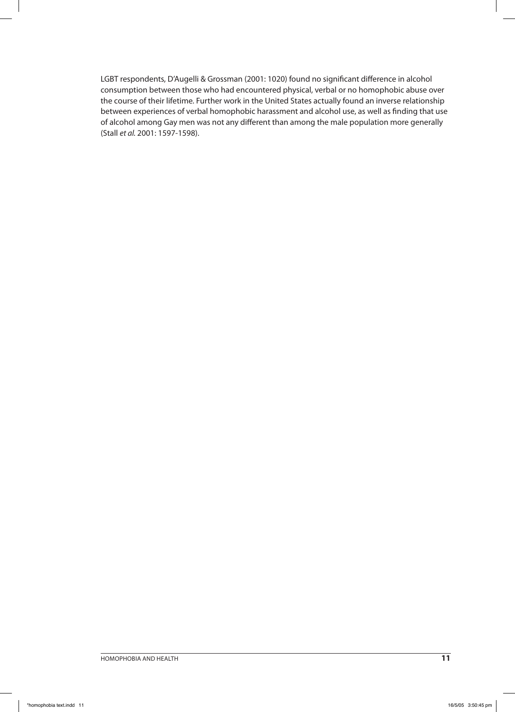LGBT respondents, D'Augelli & Grossman (2001: 1020) found no significant difference in alcohol consumption between those who had encountered physical, verbal or no homophobic abuse over the course of their lifetime. Further work in the United States actually found an inverse relationship between experiences of verbal homophobic harassment and alcohol use, as well as finding that use of alcohol among Gay men was not any different than among the male population more generally (Stall et al. 2001: 1597-1598).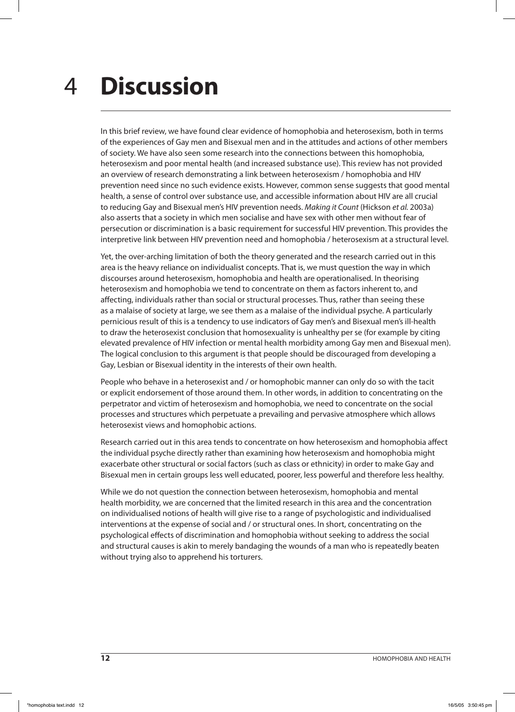### **Discussion** 4

In this brief review, we have found clear evidence of homophobia and heterosexism, both in terms of the experiences of Gay men and Bisexual men and in the attitudes and actions of other members of society. We have also seen some research into the connections between this homophobia, heterosexism and poor mental health (and increased substance use). This review has not provided an overview of research demonstrating a link between heterosexism / homophobia and HIV prevention need since no such evidence exists. However, common sense suggests that good mental health, a sense of control over substance use, and accessible information about HIV are all crucial to reducing Gay and Bisexual men's HIV prevention needs. Making it Count (Hickson et al. 2003a) also asserts that a society in which men socialise and have sex with other men without fear of persecution or discrimination is a basic requirement for successful HIV prevention. This provides the interpretive link between HIV prevention need and homophobia / heterosexism at a structural level.

Yet, the over-arching limitation of both the theory generated and the research carried out in this area is the heavy reliance on individualist concepts. That is, we must question the way in which discourses around heterosexism, homophobia and health are operationalised. In theorising heterosexism and homophobia we tend to concentrate on them as factors inherent to, and affecting, individuals rather than social or structural processes. Thus, rather than seeing these as a malaise of society at large, we see them as a malaise of the individual psyche. A particularly pernicious result of this is a tendency to use indicators of Gay men's and Bisexual men's ill-health to draw the heterosexist conclusion that homosexuality is unhealthy per se (for example by citing elevated prevalence of HIV infection or mental health morbidity among Gay men and Bisexual men). The logical conclusion to this argument is that people should be discouraged from developing a Gay, Lesbian or Bisexual identity in the interests of their own health.

People who behave in a heterosexist and / or homophobic manner can only do so with the tacit or explicit endorsement of those around them. In other words, in addition to concentrating on the perpetrator and victim of heterosexism and homophobia, we need to concentrate on the social processes and structures which perpetuate a prevailing and pervasive atmosphere which allows heterosexist views and homophobic actions.

Research carried out in this area tends to concentrate on how heterosexism and homophobia affect the individual psyche directly rather than examining how heterosexism and homophobia might exacerbate other structural or social factors (such as class or ethnicity) in order to make Gay and Bisexual men in certain groups less well educated, poorer, less powerful and therefore less healthy.

While we do not question the connection between heterosexism, homophobia and mental health morbidity, we are concerned that the limited research in this area and the concentration on individualised notions of health will give rise to a range of psychologistic and individualised interventions at the expense of social and / or structural ones. In short, concentrating on the psychological effects of discrimination and homophobia without seeking to address the social and structural causes is akin to merely bandaging the wounds of a man who is repeatedly beaten without trying also to apprehend his torturers.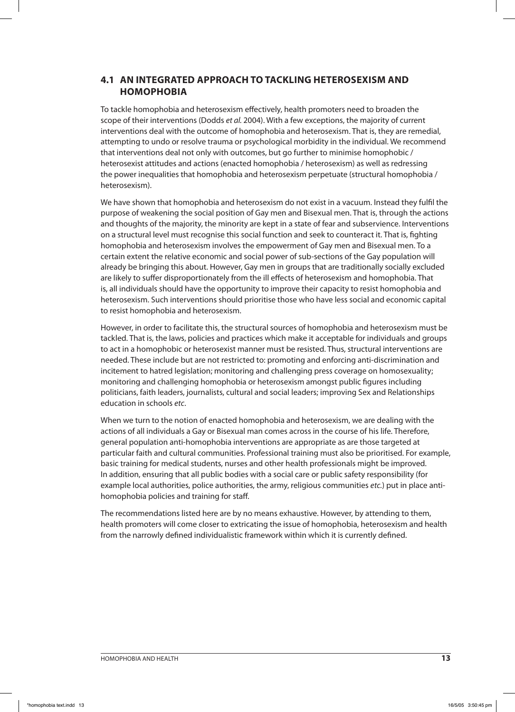### **4.1 AN INTEGRATED APPROACH TO TACKLING HETEROSEXISM AND HOMOPHOBIA**

To tackle homophobia and heterosexism effectively, health promoters need to broaden the scope of their interventions (Dodds et al. 2004). With a few exceptions, the majority of current interventions deal with the outcome of homophobia and heterosexism. That is, they are remedial, attempting to undo or resolve trauma or psychological morbidity in the individual. We recommend that interventions deal not only with outcomes, but go further to minimise homophobic / heterosexist attitudes and actions (enacted homophobia / heterosexism) as well as redressing the power inequalities that homophobia and heterosexism perpetuate (structural homophobia / heterosexism).

We have shown that homophobia and heterosexism do not exist in a vacuum. Instead they fulfil the purpose of weakening the social position of Gay men and Bisexual men. That is, through the actions and thoughts of the majority, the minority are kept in a state of fear and subservience. Interventions on a structural level must recognise this social function and seek to counteract it. That is, fighting homophobia and heterosexism involves the empowerment of Gay men and Bisexual men. To a certain extent the relative economic and social power of sub-sections of the Gay population will already be bringing this about. However, Gay men in groups that are traditionally socially excluded are likely to suffer disproportionately from the ill effects of heterosexism and homophobia. That is, all individuals should have the opportunity to improve their capacity to resist homophobia and heterosexism. Such interventions should prioritise those who have less social and economic capital to resist homophobia and heterosexism.

However, in order to facilitate this, the structural sources of homophobia and heterosexism must be tackled. That is, the laws, policies and practices which make it acceptable for individuals and groups to act in a homophobic or heterosexist manner must be resisted. Thus, structural interventions are needed. These include but are not restricted to: promoting and enforcing anti-discrimination and incitement to hatred legislation; monitoring and challenging press coverage on homosexuality; monitoring and challenging homophobia or heterosexism amongst public figures including politicians, faith leaders, journalists, cultural and social leaders; improving Sex and Relationships education in schools etc.

When we turn to the notion of enacted homophobia and heterosexism, we are dealing with the actions of all individuals a Gay or Bisexual man comes across in the course of his life. Therefore, general population anti-homophobia interventions are appropriate as are those targeted at particular faith and cultural communities. Professional training must also be prioritised. For example, basic training for medical students, nurses and other health professionals might be improved. In addition, ensuring that all public bodies with a social care or public safety responsibility (for example local authorities, police authorities, the army, religious communities etc.) put in place antihomophobia policies and training for staff.

The recommendations listed here are by no means exhaustive. However, by attending to them, health promoters will come closer to extricating the issue of homophobia, heterosexism and health from the narrowly defined individualistic framework within which it is currently defined.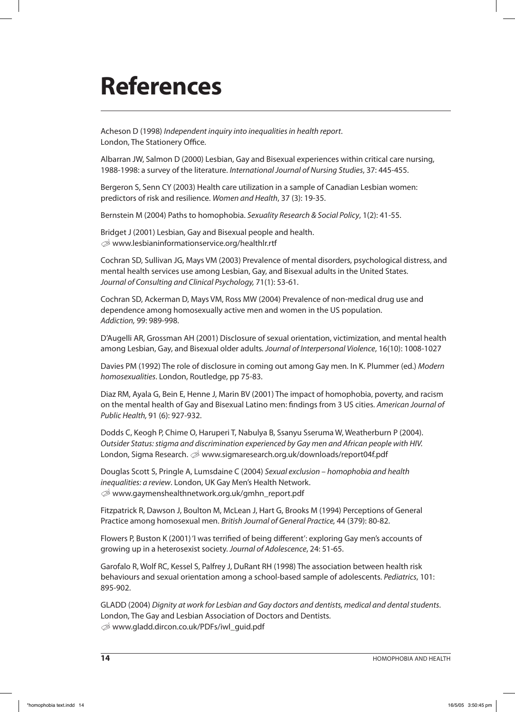# **References**

Acheson D (1998) Independent inquiry into inequalities in health report. London, The Stationery Office.

Albarran JW, Salmon D (2000) Lesbian, Gay and Bisexual experiences within critical care nursing, 1988-1998: a survey of the literature. International Journal of Nursing Studies, 37: 445-455.

Bergeron S, Senn CY (2003) Health care utilization in a sample of Canadian Lesbian women: predictors of risk and resilience. Women and Health, 37 (3): 19-35.

Bernstein M (2004) Paths to homophobia. Sexuality Research & Social Policy, 1(2): 41-55.

Bridget J (2001) Lesbian, Gay and Bisexual people and health.  $\mathcal{D}$  www.lesbianinformationservice.org/healthlr.rtf

Cochran SD, Sullivan JG, Mays VM (2003) Prevalence of mental disorders, psychological distress, and mental health services use among Lesbian, Gay, and Bisexual adults in the United States. Journal of Consulting and Clinical Psychology, 71(1): 53-61.

Cochran SD, Ackerman D, Mays VM, Ross MW (2004) Prevalence of non-medical drug use and dependence among homosexually active men and women in the US population. Addiction, 99: 989-998.

D'Augelli AR, Grossman AH (2001) Disclosure of sexual orientation, victimization, and mental health among Lesbian, Gay, and Bisexual older adults. Journal of Interpersonal Violence, 16(10): 1008-1027

Davies PM (1992) The role of disclosure in coming out among Gay men. In K. Plummer (ed.) Modern homosexualities. London, Routledge, pp 75-83.

Diaz RM, Ayala G, Bein E, Henne J, Marin BV (2001) The impact of homophobia, poverty, and racism on the mental health of Gay and Bisexual Latino men: findings from 3 US cities. American Journal of Public Health, 91 (6): 927-932.

Dodds C, Keogh P, Chime O, Haruperi T, Nabulya B, Ssanyu Sseruma W, Weatherburn P (2004). Outsider Status: stigma and discrimination experienced by Gay men and African people with HIV. London, Sigma Research.  $\mathcal{B}$  www.sigmaresearch.org.uk/downloads/report04f.pdf

Douglas Scott S, Pringle A, Lumsdaine C (2004) Sexual exclusion – homophobia and health inequalities: a review. London, UK Gay Men's Health Network. U www.gaymenshealthnetwork.org.uk/gmhn\_report.pdf

Fitzpatrick R, Dawson J, Boulton M, McLean J, Hart G, Brooks M (1994) Perceptions of General Practice among homosexual men. British Journal of General Practice, 44 (379): 80-82.

Flowers P, Buston K (2001) 'I was terrified of being different': exploring Gay men's accounts of growing up in a heterosexist society. Journal of Adolescence, 24: 51-65.

Garofalo R, Wolf RC, Kessel S, Palfrey J, DuRant RH (1998) The association between health risk behaviours and sexual orientation among a school-based sample of adolescents. Pediatrics, 101: 895-902.

GLADD (2004) Dignity at work for Lesbian and Gay doctors and dentists, medical and dental students. London, The Gay and Lesbian Association of Doctors and Dentists. U www.gladd.dircon.co.uk/PDFs/iwl\_guid.pdf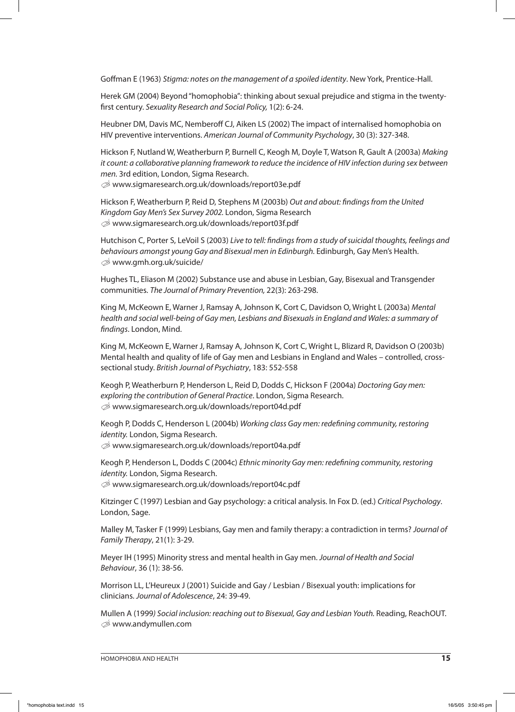Goffman E (1963) Stigma: notes on the management of a spoiled identity. New York, Prentice-Hall.

Herek GM (2004) Beyond "homophobia": thinking about sexual prejudice and stigma in the twentyfirst century. Sexuality Research and Social Policy, 1(2): 6-24.

Heubner DM, Davis MC, Nemberoff CJ, Aiken LS (2002) The impact of internalised homophobia on HIV preventive interventions. American Journal of Community Psychology, 30 (3): 327-348.

Hickson F, Nutland W, Weatherburn P, Burnell C, Keogh M, Doyle T, Watson R, Gault A (2003a) Making it count: a collaborative planning framework to reduce the incidence of HIV infection during sex between men. 3rd edition, London, Sigma Research.

U www.sigmaresearch.org.uk/downloads/report03e.pdf

Hickson F, Weatherburn P, Reid D, Stephens M (2003b) Out and about: findings from the United Kingdom Gay Men's Sex Survey 2002. London, Sigma Research U www.sigmaresearch.org.uk/downloads/report03f.pdf

Hutchison C, Porter S, LeVoil S (2003) Live to tell: findings from a study of suicidal thoughts, feelings and behaviours amongst young Gay and Bisexual men in Edinburgh. Edinburgh, Gay Men's Health.  $\otimes$  www.gmh.org.uk/suicide/

Hughes TL, Eliason M (2002) Substance use and abuse in Lesbian, Gay, Bisexual and Transgender communities. The Journal of Primary Prevention, 22(3): 263-298.

King M, McKeown E, Warner J, Ramsay A, Johnson K, Cort C, Davidson O, Wright L (2003a) Mental health and social well-being of Gay men, Lesbians and Bisexuals in England and Wales: a summary of findings. London, Mind.

King M, McKeown E, Warner J, Ramsay A, Johnson K, Cort C, Wright L, Blizard R, Davidson O (2003b) Mental health and quality of life of Gay men and Lesbians in England and Wales – controlled, crosssectional study. British Journal of Psychiatry, 183: 552-558

Keogh P, Weatherburn P, Henderson L, Reid D, Dodds C, Hickson F (2004a) Doctoring Gay men: exploring the contribution of General Practice. London, Sigma Research. U www.sigmaresearch.org.uk/downloads/report04d.pdf

Keogh P, Dodds C, Henderson L (2004b) Working class Gay men: redefining community, restoring identity. London, Sigma Research. U www.sigmaresearch.org.uk/downloads/report04a.pdf

Keogh P, Henderson L, Dodds C (2004c) Ethnic minority Gay men: redefining community, restoring identity. London, Sigma Research.

U www.sigmaresearch.org.uk/downloads/report04c.pdf

Kitzinger C (1997) Lesbian and Gay psychology: a critical analysis. In Fox D. (ed.) Critical Psychology. London, Sage.

Malley M, Tasker F (1999) Lesbians, Gay men and family therapy: a contradiction in terms? Journal of Family Therapy, 21(1): 3-29.

Meyer IH (1995) Minority stress and mental health in Gay men. Journal of Health and Social Behaviour, 36 (1): 38-56.

Morrison LL, L'Heureux J (2001) Suicide and Gay / Lesbian / Bisexual youth: implications for clinicians. Journal of Adolescence, 24: 39-49.

Mullen A (1999) Social inclusion: reaching out to Bisexual, Gay and Lesbian Youth. Reading, ReachOUT.  $\otimes$  www.andymullen.com